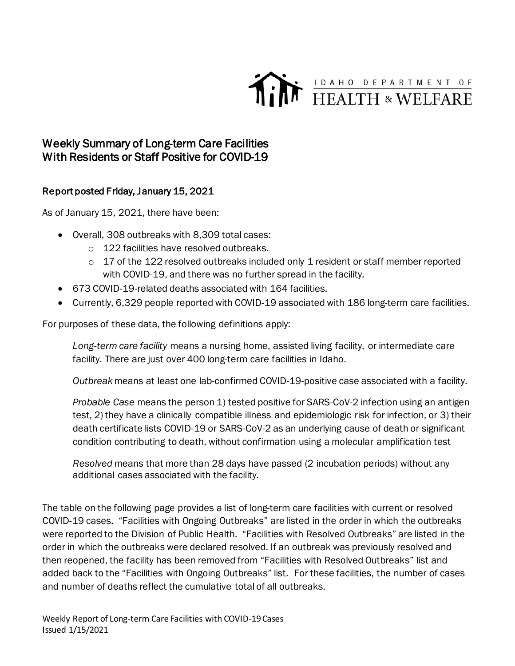

## Weekly Summary of Long-term Care Facilities With Residents or Staff Positive for COVID-19

## Report posted Friday, January 15, 2021

As of January 15, 2021, there have been:

- Overall, 308 outbreaks with 8,309 total cases:
	- o 122 facilities have resolved outbreaks.
	- $\circ$  17 of the 122 resolved outbreaks included only 1 resident or staff member reported with COVID-19, and there was no further spread in the facility.
- 673 COVID-19-related deaths associated with 164 facilities.
- Currently, 6,329 people reported with COVID-19 associated with 186 long-term care facilities.

For purposes of these data, the following definitions apply:

*Long-term care facility* means a nursing home, assisted living facility, or intermediate care facility. There are just over 400 long-term care facilities in Idaho.

*Outbreak* means at least one lab-confirmed COVID-19-positive case associated with a facility.

*Probable Case* means the person 1) tested positive for SARS-CoV-2 infection using an antigen test, 2) they have a clinically compatible illness and epidemiologic risk for infection, or 3) their death certificate lists COVID-19 or SARS-CoV-2 as an underlying cause of death or significant condition contributing to death, without confirmation using a molecular amplification test

*Resolved* means that more than 28 days have passed (2 incubation periods) without any additional cases associated with the facility.

The table on the following page provides a list of long-term care facilities with current or resolved COVID-19 cases. "Facilities with Ongoing Outbreaks" are listed in the order in which the outbreaks were reported to the Division of Public Health. "Facilities with Resolved Outbreaks" are listed in the order in which the outbreaks were declared resolved. If an outbreak was previously resolved and then reopened, the facility has been removed from "Facilities with Resolved Outbreaks" list and added back to the "Facilities with Ongoing Outbreaks" list. For these facilities, the number of cases and number of deaths reflect the cumulative total of all outbreaks.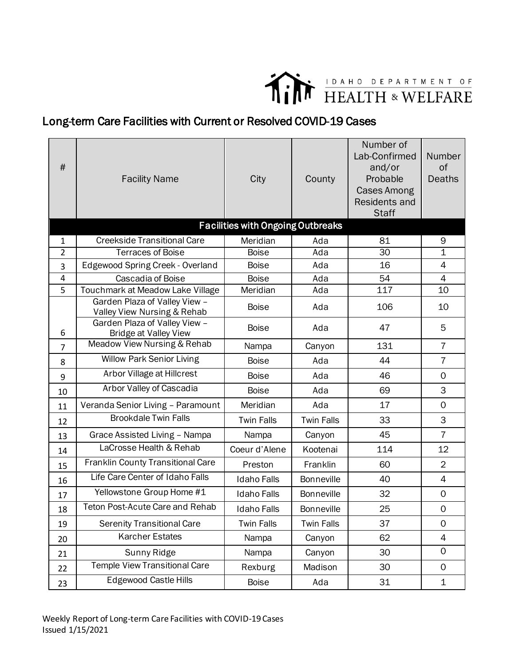

## Long-term Care Facilities with Current or Resolved COVID-19 Cases

| #              | <b>Facility Name</b>                                          | City                                     | County            | Number of<br>Lab-Confirmed<br>and/or<br>Probable<br><b>Cases Among</b><br>Residents and<br><b>Staff</b> | Number<br>of<br><b>Deaths</b> |
|----------------|---------------------------------------------------------------|------------------------------------------|-------------------|---------------------------------------------------------------------------------------------------------|-------------------------------|
|                |                                                               | <b>Facilities with Ongoing Outbreaks</b> |                   |                                                                                                         |                               |
| $\mathbf{1}$   | <b>Creekside Transitional Care</b>                            | Meridian                                 | Ada               | 81                                                                                                      | 9                             |
| $\overline{2}$ | <b>Terraces of Boise</b>                                      | <b>Boise</b>                             | Ada               | 30                                                                                                      | $\overline{1}$                |
| 3              | Edgewood Spring Creek - Overland                              | <b>Boise</b>                             | Ada               | 16                                                                                                      | 4                             |
| 4              | Cascadia of Boise                                             | <b>Boise</b>                             | Ada               | 54                                                                                                      | 4                             |
| 5              | Touchmark at Meadow Lake Village                              | Meridian                                 | Ada               | 117                                                                                                     | 10                            |
|                | Garden Plaza of Valley View -<br>Valley View Nursing & Rehab  | <b>Boise</b>                             | Ada               | 106                                                                                                     | 10                            |
| 6              | Garden Plaza of Valley View -<br><b>Bridge at Valley View</b> | <b>Boise</b>                             | Ada               | 47                                                                                                      | 5                             |
| $\overline{7}$ | Meadow View Nursing & Rehab                                   | Nampa                                    | Canyon            | 131                                                                                                     | $\overline{7}$                |
| 8              | <b>Willow Park Senior Living</b>                              | <b>Boise</b>                             | Ada               | 44                                                                                                      | $\overline{7}$                |
| 9              | Arbor Village at Hillcrest                                    | <b>Boise</b>                             | Ada               | 46                                                                                                      | $\mathbf 0$                   |
| 10             | Arbor Valley of Cascadia                                      | <b>Boise</b>                             | Ada               | 69                                                                                                      | 3                             |
| 11             | Veranda Senior Living - Paramount                             | Meridian                                 | Ada               | 17                                                                                                      | $\mathbf 0$                   |
| 12             | <b>Brookdale Twin Falls</b>                                   | <b>Twin Falls</b>                        | <b>Twin Falls</b> | 33                                                                                                      | 3                             |
| 13             | Grace Assisted Living - Nampa                                 | Nampa                                    | Canyon            | 45                                                                                                      | $\overline{7}$                |
| 14             | LaCrosse Health & Rehab                                       | Coeur d'Alene                            | Kootenai          | 114                                                                                                     | 12                            |
| 15             | Franklin County Transitional Care                             | Preston                                  | Franklin          | 60                                                                                                      | $\overline{2}$                |
| 16             | Life Care Center of Idaho Falls                               | <b>Idaho Falls</b>                       | <b>Bonneville</b> | 40                                                                                                      | 4                             |
| 17             | Yellowstone Group Home #1                                     | <b>Idaho Falls</b>                       | <b>Bonneville</b> | 32                                                                                                      | $\mathbf 0$                   |
| 18             | <b>Teton Post-Acute Care and Rehab</b>                        | <b>Idaho Falls</b>                       | <b>Bonneville</b> | 25                                                                                                      | $\mathbf 0$                   |
| 19             | <b>Serenity Transitional Care</b>                             | <b>Twin Falls</b>                        | <b>Twin Falls</b> | 37                                                                                                      | $\mathbf 0$                   |
| 20             | <b>Karcher Estates</b>                                        | Nampa                                    | Canyon            | 62                                                                                                      | $\overline{4}$                |
| 21             | Sunny Ridge                                                   | Nampa                                    | Canyon            | 30                                                                                                      | $\mathbf 0$                   |
| 22             | <b>Temple View Transitional Care</b>                          | Rexburg                                  | Madison           | 30                                                                                                      | $\mathsf{O}$                  |
| 23             | <b>Edgewood Castle Hills</b>                                  | <b>Boise</b>                             | Ada               | 31                                                                                                      | 1                             |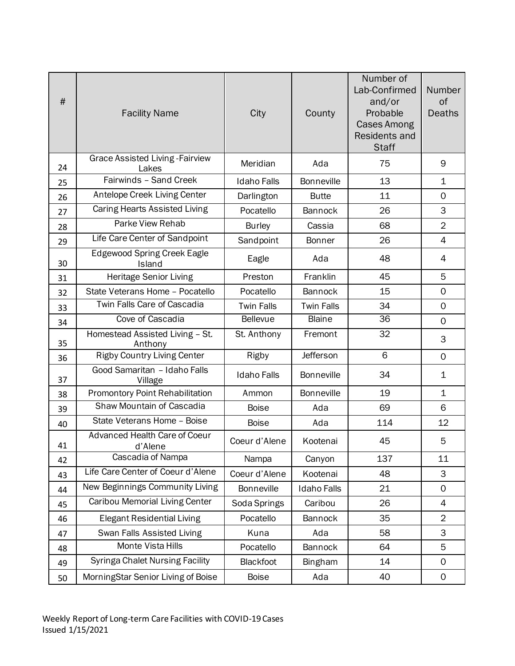| #  | <b>Facility Name</b>                            | City               | County             | Number of<br>Lab-Confirmed<br>and/or<br>Probable<br><b>Cases Among</b><br>Residents and<br><b>Staff</b> | Number<br>of<br><b>Deaths</b> |
|----|-------------------------------------------------|--------------------|--------------------|---------------------------------------------------------------------------------------------------------|-------------------------------|
| 24 | Grace Assisted Living - Fairview<br>Lakes       | Meridian           | Ada                | 75                                                                                                      | 9                             |
| 25 | Fairwinds - Sand Creek                          | <b>Idaho Falls</b> | <b>Bonneville</b>  | 13                                                                                                      | $\mathbf 1$                   |
| 26 | Antelope Creek Living Center                    | Darlington         | <b>Butte</b>       | 11                                                                                                      | $\mathbf 0$                   |
| 27 | Caring Hearts Assisted Living                   | Pocatello          | Bannock            | 26                                                                                                      | 3                             |
| 28 | Parke View Rehab                                | <b>Burley</b>      | Cassia             | 68                                                                                                      | $\overline{2}$                |
| 29 | Life Care Center of Sandpoint                   | Sandpoint          | Bonner             | 26                                                                                                      | 4                             |
| 30 | <b>Edgewood Spring Creek Eagle</b><br>Island    | Eagle              | Ada                | 48                                                                                                      | 4                             |
| 31 | Heritage Senior Living                          | Preston            | Franklin           | 45                                                                                                      | 5                             |
| 32 | State Veterans Home - Pocatello                 | Pocatello          | Bannock            | 15                                                                                                      | $\mathbf 0$                   |
| 33 | Twin Falls Care of Cascadia                     | <b>Twin Falls</b>  | <b>Twin Falls</b>  | 34                                                                                                      | $\overline{0}$                |
| 34 | Cove of Cascadia                                | <b>Bellevue</b>    | <b>Blaine</b>      | 36                                                                                                      | $\mathbf 0$                   |
| 35 | Homestead Assisted Living - St.<br>Anthony      | St. Anthony        | Fremont            | 32                                                                                                      | 3                             |
| 36 | <b>Rigby Country Living Center</b>              | Rigby              | Jefferson          | 6                                                                                                       | $\mathbf 0$                   |
| 37 | Good Samaritan - Idaho Falls<br>Village         | <b>Idaho Falls</b> | <b>Bonneville</b>  | 34                                                                                                      | $\mathbf 1$                   |
| 38 | <b>Promontory Point Rehabilitation</b>          | Ammon              | Bonneville         | 19                                                                                                      | $\mathbf 1$                   |
| 39 | Shaw Mountain of Cascadia                       | <b>Boise</b>       | Ada                | 69                                                                                                      | 6                             |
| 40 | State Veterans Home - Boise                     | <b>Boise</b>       | Ada                | 114                                                                                                     | 12                            |
| 41 | <b>Advanced Health Care of Coeur</b><br>d'Alene | Coeur d'Alene      | Kootenai           | 45                                                                                                      | 5                             |
| 42 | Cascadia of Nampa                               | Nampa              | Canyon             | 137                                                                                                     | 11                            |
| 43 | Life Care Center of Coeur d'Alene               | Coeur d'Alene      | Kootenai           | 48                                                                                                      | 3                             |
| 44 | New Beginnings Community Living                 | <b>Bonneville</b>  | <b>Idaho Falls</b> | 21                                                                                                      | $\mathbf 0$                   |
| 45 | Caribou Memorial Living Center                  | Soda Springs       | Caribou            | 26                                                                                                      | 4                             |
| 46 | <b>Elegant Residential Living</b>               | Pocatello          | Bannock            | 35                                                                                                      | $\overline{2}$                |
| 47 | Swan Falls Assisted Living                      | Kuna               | Ada                | 58                                                                                                      | 3                             |
| 48 | Monte Vista Hills                               | Pocatello          | Bannock            | 64                                                                                                      | 5                             |
| 49 | <b>Syringa Chalet Nursing Facility</b>          | Blackfoot          | Bingham            | 14                                                                                                      | 0                             |
| 50 | MorningStar Senior Living of Boise              | <b>Boise</b>       | Ada                | 40                                                                                                      | $\mathbf 0$                   |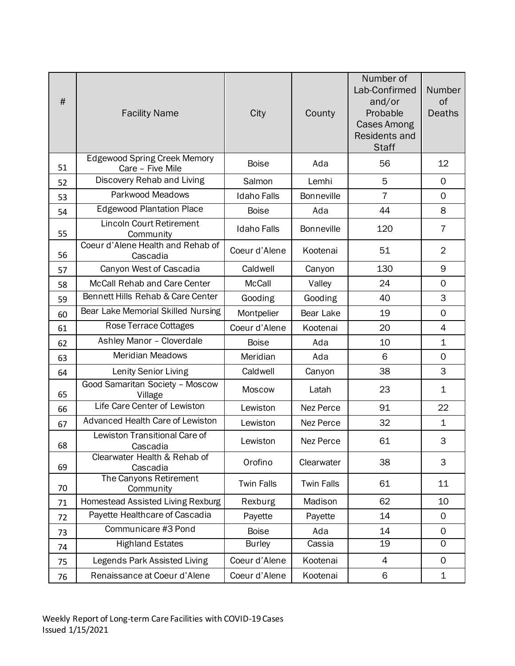| #  | <b>Facility Name</b>                                    | City               | County            | Number of<br>Lab-Confirmed<br>and/or<br>Probable<br><b>Cases Among</b><br>Residents and<br><b>Staff</b> | Number<br>of<br><b>Deaths</b> |
|----|---------------------------------------------------------|--------------------|-------------------|---------------------------------------------------------------------------------------------------------|-------------------------------|
| 51 | <b>Edgewood Spring Creek Memory</b><br>Care - Five Mile | <b>Boise</b>       | Ada               | 56                                                                                                      | 12                            |
| 52 | Discovery Rehab and Living                              | Salmon             | Lemhi             | 5                                                                                                       | $\mathbf 0$                   |
| 53 | Parkwood Meadows                                        | <b>Idaho Falls</b> | Bonneville        | $\overline{7}$                                                                                          | $\mathbf 0$                   |
| 54 | <b>Edgewood Plantation Place</b>                        | <b>Boise</b>       | Ada               | 44                                                                                                      | 8                             |
| 55 | <b>Lincoln Court Retirement</b><br>Community            | <b>Idaho Falls</b> | <b>Bonneville</b> | 120                                                                                                     | 7                             |
| 56 | Coeur d'Alene Health and Rehab of<br>Cascadia           | Coeur d'Alene      | Kootenai          | 51                                                                                                      | $\overline{2}$                |
| 57 | Canyon West of Cascadia                                 | Caldwell           | Canyon            | 130                                                                                                     | 9                             |
| 58 | McCall Rehab and Care Center                            | <b>McCall</b>      | Valley            | 24                                                                                                      | $\mathbf 0$                   |
| 59 | Bennett Hills Rehab & Care Center                       | Gooding            | Gooding           | 40                                                                                                      | 3                             |
| 60 | Bear Lake Memorial Skilled Nursing                      | Montpelier         | Bear Lake         | 19                                                                                                      | $\mathsf{O}$                  |
| 61 | Rose Terrace Cottages                                   | Coeur d'Alene      | Kootenai          | 20                                                                                                      | $\overline{4}$                |
| 62 | Ashley Manor - Cloverdale                               | <b>Boise</b>       | Ada               | 10                                                                                                      | $\mathbf 1$                   |
| 63 | <b>Meridian Meadows</b>                                 | Meridian           | Ada               | 6                                                                                                       | $\mathbf 0$                   |
| 64 | Lenity Senior Living                                    | Caldwell           | Canyon            | 38                                                                                                      | 3                             |
| 65 | Good Samaritan Society - Moscow<br>Village              | <b>Moscow</b>      | Latah             | 23                                                                                                      | $\mathbf 1$                   |
| 66 | Life Care Center of Lewiston                            | Lewiston           | Nez Perce         | 91                                                                                                      | 22                            |
| 67 | Advanced Health Care of Lewiston                        | Lewiston           | Nez Perce         | 32                                                                                                      | $\mathbf 1$                   |
| 68 | Lewiston Transitional Care of<br>Cascadia               | Lewiston           | Nez Perce         | 61                                                                                                      | 3                             |
| 69 | Clearwater Health & Rehab of<br>Cascadia                | Orofino            | Clearwater        | 38                                                                                                      | 3                             |
| 70 | The Canyons Retirement<br>Community                     | <b>Twin Falls</b>  | <b>Twin Falls</b> | 61                                                                                                      | 11                            |
| 71 | <b>Homestead Assisted Living Rexburg</b>                | Rexburg            | Madison           | 62                                                                                                      | 10                            |
| 72 | Payette Healthcare of Cascadia                          | Payette            | Payette           | 14                                                                                                      | 0                             |
| 73 | Communicare #3 Pond                                     | <b>Boise</b>       | Ada               | 14                                                                                                      | $\mathbf 0$                   |
| 74 | <b>Highland Estates</b>                                 | <b>Burley</b>      | Cassia            | 19                                                                                                      | $\overline{0}$                |
| 75 | Legends Park Assisted Living                            | Coeur d'Alene      | Kootenai          | 4                                                                                                       | $\mathbf 0$                   |
| 76 | Renaissance at Coeur d'Alene                            | Coeur d'Alene      | Kootenai          | 6                                                                                                       | $\mathbf 1$                   |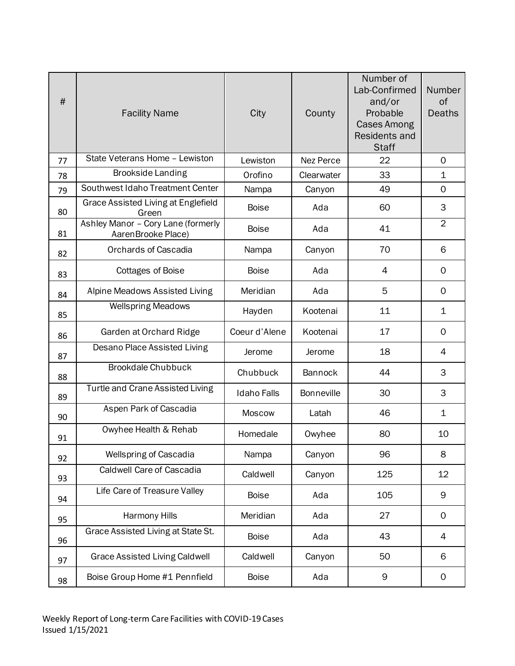| #  | <b>Facility Name</b>                                     | City               | County            | Number of<br>Lab-Confirmed<br>and/or<br>Probable<br><b>Cases Among</b><br><b>Residents and</b><br><b>Staff</b> | Number<br>of<br><b>Deaths</b> |
|----|----------------------------------------------------------|--------------------|-------------------|----------------------------------------------------------------------------------------------------------------|-------------------------------|
| 77 | State Veterans Home - Lewiston                           | Lewiston           | Nez Perce         | 22                                                                                                             | $\Omega$                      |
| 78 | <b>Brookside Landing</b>                                 | Orofino            | Clearwater        | 33                                                                                                             | $\mathbf 1$                   |
| 79 | Southwest Idaho Treatment Center                         | Nampa              | Canyon            | 49                                                                                                             | $\mathbf 0$                   |
| 80 | Grace Assisted Living at Englefield<br>Green             | <b>Boise</b>       | Ada               | 60                                                                                                             | 3                             |
| 81 | Ashley Manor - Cory Lane (formerly<br>AarenBrooke Place) | <b>Boise</b>       | Ada               | 41                                                                                                             | $\overline{2}$                |
| 82 | Orchards of Cascadia                                     | Nampa              | Canyon            | 70                                                                                                             | 6                             |
| 83 | <b>Cottages of Boise</b>                                 | <b>Boise</b>       | Ada               | 4                                                                                                              | $\mathbf 0$                   |
| 84 | Alpine Meadows Assisted Living                           | Meridian           | Ada               | 5                                                                                                              | $\mathbf 0$                   |
| 85 | <b>Wellspring Meadows</b>                                | Hayden             | Kootenai          | 11                                                                                                             | 1                             |
| 86 | Garden at Orchard Ridge                                  | Coeur d'Alene      | Kootenai          | 17                                                                                                             | $\mathbf 0$                   |
| 87 | Desano Place Assisted Living                             | Jerome             | Jerome            | 18                                                                                                             | 4                             |
| 88 | <b>Brookdale Chubbuck</b>                                | Chubbuck           | <b>Bannock</b>    | 44                                                                                                             | 3                             |
| 89 | <b>Turtle and Crane Assisted Living</b>                  | <b>Idaho Falls</b> | <b>Bonneville</b> | 30                                                                                                             | 3                             |
| 90 | Aspen Park of Cascadia                                   | <b>Moscow</b>      | Latah             | 46                                                                                                             | $\mathbf 1$                   |
| 91 | Owyhee Health & Rehab                                    | Homedale           | Owyhee            | 80                                                                                                             | 10                            |
| 92 | <b>Wellspring of Cascadia</b>                            | Nampa              | Canyon            | 96                                                                                                             | 8                             |
| 93 | Caldwell Care of Cascadia                                | Caldwell           | Canyon            | 125                                                                                                            | 12                            |
| 94 | Life Care of Treasure Valley                             | <b>Boise</b>       | Ada               | 105                                                                                                            | 9                             |
| 95 | <b>Harmony Hills</b>                                     | Meridian           | Ada               | 27                                                                                                             | $\mathbf 0$                   |
| 96 | Grace Assisted Living at State St.                       | <b>Boise</b>       | Ada               | 43                                                                                                             | 4                             |
| 97 | <b>Grace Assisted Living Caldwell</b>                    | Caldwell           | Canyon            | 50                                                                                                             | 6                             |
| 98 | Boise Group Home #1 Pennfield                            | <b>Boise</b>       | Ada               | 9                                                                                                              | 0                             |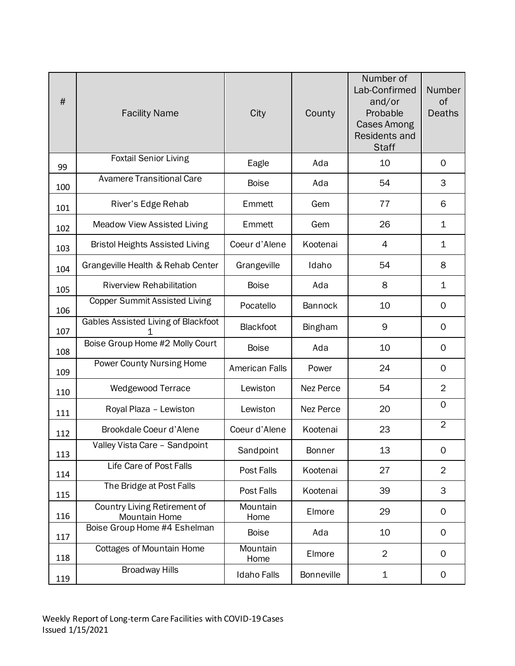| #   | <b>Facility Name</b>                          | City                  | County            | Number of<br>Lab-Confirmed<br>and/or<br>Probable<br><b>Cases Among</b><br>Residents and<br><b>Staff</b> | Number<br>of<br><b>Deaths</b> |
|-----|-----------------------------------------------|-----------------------|-------------------|---------------------------------------------------------------------------------------------------------|-------------------------------|
| 99  | <b>Foxtail Senior Living</b>                  | Eagle                 | Ada               | 10                                                                                                      | $\Omega$                      |
| 100 | <b>Avamere Transitional Care</b>              | <b>Boise</b>          | Ada               | 54                                                                                                      | 3                             |
| 101 | River's Edge Rehab                            | Emmett                | Gem               | 77                                                                                                      | 6                             |
| 102 | <b>Meadow View Assisted Living</b>            | Emmett                | Gem               | 26                                                                                                      | $\mathbf 1$                   |
| 103 | <b>Bristol Heights Assisted Living</b>        | Coeur d'Alene         | Kootenai          | 4                                                                                                       | 1                             |
| 104 | Grangeville Health & Rehab Center             | Grangeville           | Idaho             | 54                                                                                                      | 8                             |
| 105 | <b>Riverview Rehabilitation</b>               | <b>Boise</b>          | Ada               | 8                                                                                                       | 1                             |
| 106 | <b>Copper Summit Assisted Living</b>          | Pocatello             | Bannock           | 10                                                                                                      | $\mathbf 0$                   |
| 107 | Gables Assisted Living of Blackfoot<br>1      | Blackfoot             | <b>Bingham</b>    | 9                                                                                                       | $\mathbf 0$                   |
| 108 | Boise Group Home #2 Molly Court               | <b>Boise</b>          | Ada               | 10                                                                                                      | $\mathbf 0$                   |
| 109 | Power County Nursing Home                     | <b>American Falls</b> | Power             | 24                                                                                                      | $\mathbf 0$                   |
| 110 | Wedgewood Terrace                             | Lewiston              | Nez Perce         | 54                                                                                                      | $\overline{2}$                |
| 111 | Royal Plaza - Lewiston                        | Lewiston              | Nez Perce         | 20                                                                                                      | $\mathbf 0$                   |
| 112 | Brookdale Coeur d'Alene                       | Coeur d'Alene         | Kootenai          | 23                                                                                                      | $\overline{2}$                |
| 113 | Valley Vista Care - Sandpoint                 | Sandpoint             | <b>Bonner</b>     | 13                                                                                                      | $\mathbf 0$                   |
| 114 | Life Care of Post Falls                       | Post Falls            | Kootenai          | 27                                                                                                      | $\overline{2}$                |
| 115 | The Bridge at Post Falls                      | Post Falls            | Kootenai          | 39                                                                                                      | 3                             |
| 116 | Country Living Retirement of<br>Mountain Home | Mountain<br>Home      | Elmore            | 29                                                                                                      | $\mathbf 0$                   |
| 117 | Boise Group Home #4 Eshelman                  | <b>Boise</b>          | Ada               | 10                                                                                                      | 0                             |
| 118 | <b>Cottages of Mountain Home</b>              | Mountain<br>Home      | Elmore            | $\overline{2}$                                                                                          | $\mathbf 0$                   |
| 119 | <b>Broadway Hills</b>                         | Idaho Falls           | <b>Bonneville</b> | $\mathbf 1$                                                                                             | $\mathsf{O}\xspace$           |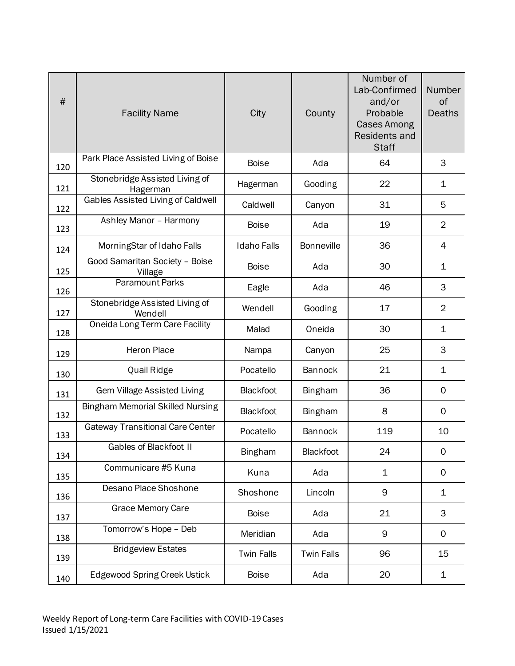| #   | <b>Facility Name</b>                       | City               | County            | Number of<br>Lab-Confirmed<br>and/or<br>Probable<br><b>Cases Among</b><br><b>Residents and</b><br><b>Staff</b> | Number<br>of<br><b>Deaths</b> |
|-----|--------------------------------------------|--------------------|-------------------|----------------------------------------------------------------------------------------------------------------|-------------------------------|
| 120 | Park Place Assisted Living of Boise        | <b>Boise</b>       | Ada               | 64                                                                                                             | 3                             |
| 121 | Stonebridge Assisted Living of<br>Hagerman | Hagerman           | Gooding           | 22                                                                                                             | $\mathbf 1$                   |
| 122 | Gables Assisted Living of Caldwell         | Caldwell           | Canyon            | 31                                                                                                             | 5                             |
| 123 | Ashley Manor - Harmony                     | <b>Boise</b>       | Ada               | 19                                                                                                             | $\overline{2}$                |
| 124 | MorningStar of Idaho Falls                 | <b>Idaho Falls</b> | <b>Bonneville</b> | 36                                                                                                             | $\overline{4}$                |
| 125 | Good Samaritan Society - Boise<br>Village  | <b>Boise</b>       | Ada               | 30                                                                                                             | $\mathbf 1$                   |
| 126 | <b>Paramount Parks</b>                     | Eagle              | Ada               | 46                                                                                                             | 3                             |
| 127 | Stonebridge Assisted Living of<br>Wendell  | Wendell            | Gooding           | 17                                                                                                             | $\overline{2}$                |
| 128 | Oneida Long Term Care Facility             | Malad              | Oneida            | 30                                                                                                             | $\mathbf{1}$                  |
| 129 | Heron Place                                | Nampa              | Canyon            | 25                                                                                                             | 3                             |
| 130 | Quail Ridge                                | Pocatello          | Bannock           | 21                                                                                                             | $\mathbf{1}$                  |
| 131 | Gem Village Assisted Living                | Blackfoot          | <b>Bingham</b>    | 36                                                                                                             | 0                             |
| 132 | <b>Bingham Memorial Skilled Nursing</b>    | Blackfoot          | <b>Bingham</b>    | 8                                                                                                              | $\mathbf 0$                   |
| 133 | <b>Gateway Transitional Care Center</b>    | Pocatello          | Bannock           | 119                                                                                                            | 10                            |
| 134 | Gables of Blackfoot II                     | <b>Bingham</b>     | Blackfoot         | 24                                                                                                             | 0                             |
| 135 | Communicare #5 Kuna                        | Kuna               | Ada               | 1                                                                                                              | 0                             |
| 136 | Desano Place Shoshone                      | Shoshone           | Lincoln           | 9                                                                                                              | 1                             |
| 137 | Grace Memory Care                          | <b>Boise</b>       | Ada               | 21                                                                                                             | 3                             |
| 138 | Tomorrow's Hope - Deb                      | Meridian           | Ada               | 9                                                                                                              | $\mathsf{O}$                  |
| 139 | <b>Bridgeview Estates</b>                  | <b>Twin Falls</b>  | <b>Twin Falls</b> | 96                                                                                                             | 15                            |
| 140 | <b>Edgewood Spring Creek Ustick</b>        | <b>Boise</b>       | Ada               | 20                                                                                                             | $\mathbf{1}$                  |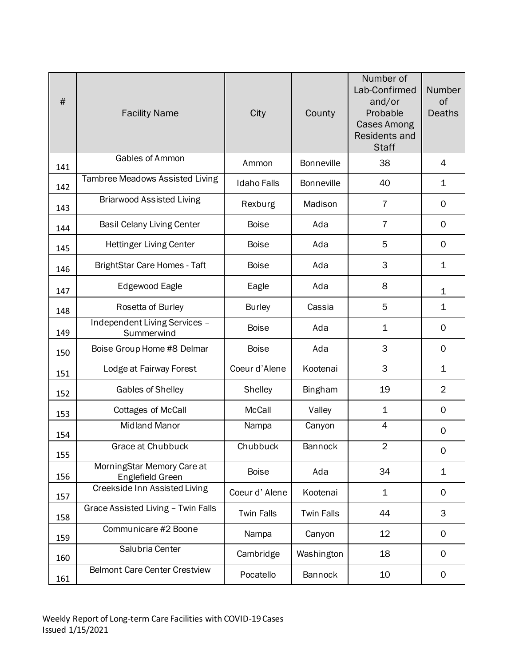| #   | <b>Facility Name</b>                           | City               | County            | Number of<br>Lab-Confirmed<br>and/or<br>Probable<br><b>Cases Among</b><br><b>Residents and</b><br><b>Staff</b> | Number<br>of<br><b>Deaths</b> |
|-----|------------------------------------------------|--------------------|-------------------|----------------------------------------------------------------------------------------------------------------|-------------------------------|
| 141 | Gables of Ammon                                | Ammon              | <b>Bonneville</b> | 38                                                                                                             | $\overline{4}$                |
| 142 | Tambree Meadows Assisted Living                | <b>Idaho Falls</b> | <b>Bonneville</b> | 40                                                                                                             | $\mathbf{1}$                  |
| 143 | <b>Briarwood Assisted Living</b>               | Rexburg            | Madison           | $\overline{7}$                                                                                                 | $\mathbf 0$                   |
| 144 | <b>Basil Celany Living Center</b>              | <b>Boise</b>       | Ada               | $\overline{7}$                                                                                                 | $\mathbf 0$                   |
| 145 | <b>Hettinger Living Center</b>                 | <b>Boise</b>       | Ada               | 5                                                                                                              | $\mathbf 0$                   |
| 146 | BrightStar Care Homes - Taft                   | <b>Boise</b>       | Ada               | 3                                                                                                              | $\mathbf 1$                   |
| 147 | Edgewood Eagle                                 | Eagle              | Ada               | 8                                                                                                              | $\mathbf 1$                   |
| 148 | Rosetta of Burley                              | <b>Burley</b>      | Cassia            | 5                                                                                                              | $\mathbf 1$                   |
| 149 | Independent Living Services -<br>Summerwind    | <b>Boise</b>       | Ada               | $\mathbf 1$                                                                                                    | 0                             |
| 150 | Boise Group Home #8 Delmar                     | <b>Boise</b>       | Ada               | 3                                                                                                              | 0                             |
| 151 | Lodge at Fairway Forest                        | Coeur d'Alene      | Kootenai          | 3                                                                                                              | $\mathbf 1$                   |
| 152 | Gables of Shelley                              | <b>Shelley</b>     | <b>Bingham</b>    | 19                                                                                                             | $\overline{2}$                |
| 153 | <b>Cottages of McCall</b>                      | <b>McCall</b>      | Valley            | $\mathbf 1$                                                                                                    | 0                             |
| 154 | <b>Midland Manor</b>                           | Nampa              | Canyon            | $\overline{4}$                                                                                                 | 0                             |
| 155 | Grace at Chubbuck                              | Chubbuck           | Bannock           | $\overline{2}$                                                                                                 | 0                             |
| 156 | MorningStar Memory Care at<br>Englefield Green | <b>Boise</b>       | Ada               | 34                                                                                                             | $\mathbf 1$                   |
| 157 | Creekside Inn Assisted Living                  | Coeur d'Alene      | Kootenai          | $\mathbf 1$                                                                                                    | 0                             |
| 158 | Grace Assisted Living - Twin Falls             | <b>Twin Falls</b>  | <b>Twin Falls</b> | 44                                                                                                             | 3                             |
| 159 | Communicare #2 Boone                           | Nampa              | Canyon            | 12                                                                                                             | 0                             |
| 160 | Salubria Center                                | Cambridge          | Washington        | 18                                                                                                             | 0                             |
| 161 | <b>Belmont Care Center Crestview</b>           | Pocatello          | <b>Bannock</b>    | 10                                                                                                             | 0                             |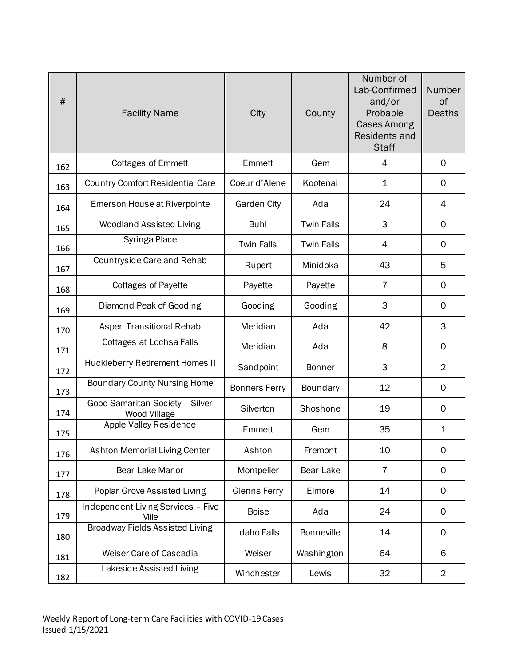| #   | <b>Facility Name</b>                            | City                 | County            | Number of<br>Lab-Confirmed<br>and/or<br>Probable<br><b>Cases Among</b><br><b>Residents and</b><br><b>Staff</b> | Number<br>of<br><b>Deaths</b> |
|-----|-------------------------------------------------|----------------------|-------------------|----------------------------------------------------------------------------------------------------------------|-------------------------------|
| 162 | <b>Cottages of Emmett</b>                       | Emmett               | Gem               | $\overline{4}$                                                                                                 | $\mathbf 0$                   |
| 163 | <b>Country Comfort Residential Care</b>         | Coeur d'Alene        | Kootenai          | 1                                                                                                              | $\mathbf 0$                   |
| 164 | Emerson House at Riverpointe                    | Garden City          | Ada               | 24                                                                                                             | 4                             |
| 165 | <b>Woodland Assisted Living</b>                 | Buhl                 | <b>Twin Falls</b> | 3                                                                                                              | $\mathbf 0$                   |
| 166 | Syringa Place                                   | <b>Twin Falls</b>    | <b>Twin Falls</b> | 4                                                                                                              | $\mathbf 0$                   |
| 167 | Countryside Care and Rehab                      | Rupert               | Minidoka          | 43                                                                                                             | 5                             |
| 168 | <b>Cottages of Payette</b>                      | Payette              | Payette           | 7                                                                                                              | $\mathbf 0$                   |
| 169 | Diamond Peak of Gooding                         | Gooding              | Gooding           | 3                                                                                                              | $\mathbf 0$                   |
| 170 | Aspen Transitional Rehab                        | Meridian             | Ada               | 42                                                                                                             | 3                             |
| 171 | Cottages at Lochsa Falls                        | Meridian             | Ada               | 8                                                                                                              | $\mathbf 0$                   |
| 172 | Huckleberry Retirement Homes II                 | Sandpoint            | <b>Bonner</b>     | 3                                                                                                              | $\overline{2}$                |
| 173 | <b>Boundary County Nursing Home</b>             | <b>Bonners Ferry</b> | Boundary          | 12                                                                                                             | $\mathbf 0$                   |
| 174 | Good Samaritan Society - Silver<br>Wood Village | Silverton            | Shoshone          | 19                                                                                                             | $\mathbf 0$                   |
| 175 | Apple Valley Residence                          | Emmett               | Gem               | 35                                                                                                             | $\mathbf 1$                   |
| 176 | <b>Ashton Memorial Living Center</b>            | Ashton               | Fremont           | 10                                                                                                             | $\mathbf 0$                   |
| 177 | Bear Lake Manor                                 | Montpelier           | Bear Lake         | $\overline{7}$                                                                                                 | $\mathbf 0$                   |
| 178 | Poplar Grove Assisted Living                    | Glenns Ferry         | Elmore            | 14                                                                                                             | 0                             |
| 179 | Independent Living Services - Five<br>Mile      | <b>Boise</b>         | Ada               | 24                                                                                                             | 0                             |
| 180 | <b>Broadway Fields Assisted Living</b>          | <b>Idaho Falls</b>   | <b>Bonneville</b> | 14                                                                                                             | 0                             |
| 181 | Weiser Care of Cascadia                         | Weiser               | Washington        | 64                                                                                                             | 6                             |
| 182 | Lakeside Assisted Living                        | Winchester           | Lewis             | 32                                                                                                             | $\overline{2}$                |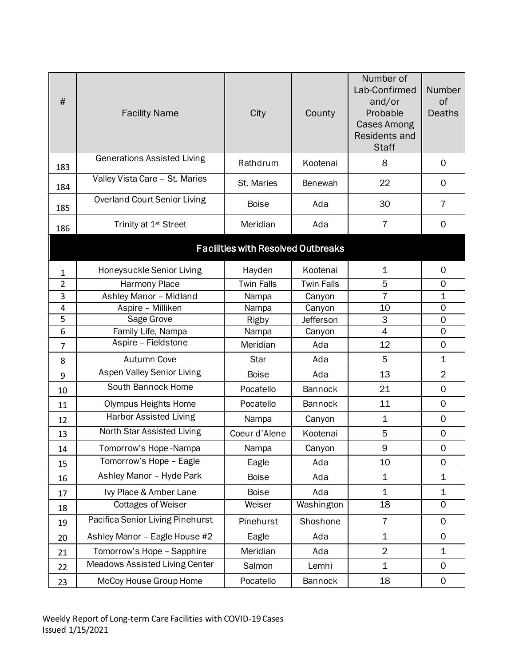| #              | <b>Facility Name</b>                  | City                                      | County            | Number of<br>Lab-Confirmed<br>and/or<br>Probable<br><b>Cases Among</b><br>Residents and<br><b>Staff</b> | Number<br>of<br><b>Deaths</b> |
|----------------|---------------------------------------|-------------------------------------------|-------------------|---------------------------------------------------------------------------------------------------------|-------------------------------|
| 183            | <b>Generations Assisted Living</b>    | Rathdrum                                  | Kootenai          | 8                                                                                                       | 0                             |
| 184            | Valley Vista Care - St. Maries        | St. Maries                                | Benewah           | 22                                                                                                      | $\mathbf 0$                   |
| 185            | <b>Overland Court Senior Living</b>   | <b>Boise</b>                              | Ada               | 30                                                                                                      | 7                             |
| 186            | Trinity at 1 <sup>st</sup> Street     | Meridian                                  | Ada               | 7                                                                                                       | $\mathbf 0$                   |
|                |                                       | <b>Facilities with Resolved Outbreaks</b> |                   |                                                                                                         |                               |
| 1              | Honeysuckle Senior Living             | Hayden                                    | Kootenai          | 1                                                                                                       | $\mathbf 0$                   |
| $\overline{2}$ | <b>Harmony Place</b>                  | <b>Twin Falls</b>                         | <b>Twin Falls</b> | 5                                                                                                       | $\mathbf 0$                   |
| 3              | Ashley Manor - Midland                | Nampa                                     | Canyon            | $\overline{7}$                                                                                          | $\mathbf 1$                   |
| 4              | Aspire - Milliken                     | Nampa                                     | Canyon            | 10                                                                                                      | $\mathbf 0$                   |
| 5              | Sage Grove                            | Rigby                                     | Jefferson         | 3                                                                                                       | 0                             |
| 6              | Family Life, Nampa                    | Nampa                                     | Canyon            | $\overline{4}$                                                                                          | $\mathbf 0$                   |
| 7              | Aspire - Fieldstone                   | Meridian                                  | Ada               | 12                                                                                                      | $\mathbf 0$                   |
| 8              | <b>Autumn Cove</b>                    | <b>Star</b>                               | Ada               | 5                                                                                                       | $\mathbf 1$                   |
| 9              | <b>Aspen Valley Senior Living</b>     | <b>Boise</b>                              | Ada               | 13                                                                                                      | $\overline{2}$                |
| 10             | South Bannock Home                    | Pocatello                                 | Bannock           | 21                                                                                                      | $\mathbf 0$                   |
| 11             | <b>Olympus Heights Home</b>           | Pocatello                                 | Bannock           | 11                                                                                                      | $\mathbf 0$                   |
| 12             | <b>Harbor Assisted Living</b>         | Nampa                                     | Canyon            | $\mathbf 1$                                                                                             | $\mathbf 0$                   |
| 13             | North Star Assisted Living            | Coeur d'Alene                             | Kootenai          | 5                                                                                                       | $\mathbf 0$                   |
| 14             | Tomorrow's Hope-Nampa                 | Nampa                                     | Canyon            | 9                                                                                                       | $\mathsf{O}\xspace$           |
| 15             | Tomorrow's Hope - Eagle               | Eagle                                     | Ada               | 10                                                                                                      | $\Omega$                      |
| 16             | Ashley Manor - Hyde Park              | <b>Boise</b>                              | Ada               | $\mathbf 1$                                                                                             | 1                             |
| 17             | Ivy Place & Amber Lane                | <b>Boise</b>                              | Ada               | $\mathbf 1$                                                                                             | $\mathbf 1$                   |
| 18             | <b>Cottages of Weiser</b>             | Weiser                                    | Washington        | 18                                                                                                      | $\mathbf 0$                   |
| 19             | Pacifica Senior Living Pinehurst      | Pinehurst                                 | Shoshone          | 7                                                                                                       | $\mathbf 0$                   |
| 20             | Ashley Manor - Eagle House #2         | Eagle                                     | Ada               | $\mathbf 1$                                                                                             | $\mathsf{O}\xspace$           |
| 21             | Tomorrow's Hope - Sapphire            | Meridian                                  | Ada               | $\overline{2}$                                                                                          | $\mathbf 1$                   |
| 22             | <b>Meadows Assisted Living Center</b> | Salmon                                    | Lemhi             | $\overline{1}$                                                                                          | $\mathsf{O}\xspace$           |
| 23             | McCoy House Group Home                | Pocatello                                 | Bannock           | 18                                                                                                      | 0                             |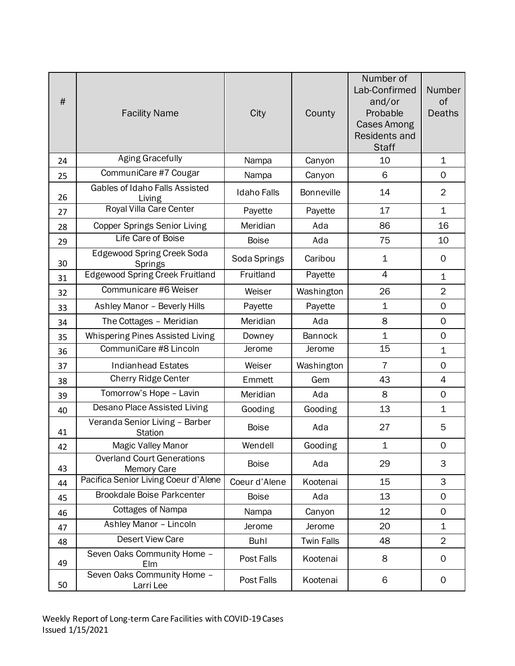| #  | <b>Facility Name</b>                                    | City               | County            | Number of<br>Lab-Confirmed<br>and/or<br>Probable<br><b>Cases Among</b><br><b>Residents and</b><br><b>Staff</b> | Number<br>of<br><b>Deaths</b> |
|----|---------------------------------------------------------|--------------------|-------------------|----------------------------------------------------------------------------------------------------------------|-------------------------------|
| 24 | <b>Aging Gracefully</b>                                 | Nampa              | Canyon            | 10                                                                                                             | $\mathbf 1$                   |
| 25 | CommuniCare #7 Cougar                                   | Nampa              | Canyon            | 6                                                                                                              | 0                             |
| 26 | Gables of Idaho Falls Assisted<br>Living                | <b>Idaho Falls</b> | <b>Bonneville</b> | 14                                                                                                             | $\overline{2}$                |
| 27 | Royal Villa Care Center                                 | Payette            | Payette           | 17                                                                                                             | $\mathbf{1}$                  |
| 28 | <b>Copper Springs Senior Living</b>                     | Meridian           | Ada               | 86                                                                                                             | 16                            |
| 29 | Life Care of Boise                                      | <b>Boise</b>       | Ada               | 75                                                                                                             | 10                            |
| 30 | <b>Edgewood Spring Creek Soda</b><br>Springs            | Soda Springs       | Caribou           | 1                                                                                                              | 0                             |
| 31 | <b>Edgewood Spring Creek Fruitland</b>                  | Fruitland          | Payette           | $\overline{4}$                                                                                                 | $\mathbf{1}$                  |
| 32 | Communicare #6 Weiser                                   | Weiser             | Washington        | 26                                                                                                             | $\overline{2}$                |
| 33 | Ashley Manor - Beverly Hills                            | Payette            | Payette           | $\mathbf 1$                                                                                                    | $\mathbf 0$                   |
| 34 | The Cottages - Meridian                                 | Meridian           | Ada               | 8                                                                                                              | $\mathsf{O}$                  |
| 35 | Whispering Pines Assisted Living                        | Downey             | Bannock           | $\mathbf 1$                                                                                                    | $\mathbf 0$                   |
| 36 | CommuniCare #8 Lincoln                                  | Jerome             | Jerome            | 15                                                                                                             | $\mathbf 1$                   |
| 37 | <b>Indianhead Estates</b>                               | Weiser             | Washington        | $\overline{7}$                                                                                                 | 0                             |
| 38 | <b>Cherry Ridge Center</b>                              | Emmett             | Gem               | 43                                                                                                             | $\overline{4}$                |
| 39 | Tomorrow's Hope - Lavin                                 | Meridian           | Ada               | 8                                                                                                              | 0                             |
| 40 | Desano Place Assisted Living                            | Gooding            | Gooding           | 13                                                                                                             | $\mathbf 1$                   |
| 41 | Veranda Senior Living - Barber<br><b>Station</b>        | <b>Boise</b>       | Ada               | 27                                                                                                             | 5                             |
| 42 | <b>Magic Valley Manor</b>                               | Wendell            | Gooding           | 1                                                                                                              | 0                             |
| 43 | <b>Overland Court Generations</b><br><b>Memory Care</b> | <b>Boise</b>       | Ada               | 29                                                                                                             | 3                             |
| 44 | Pacifica Senior Living Coeur d'Alene                    | Coeur d'Alene      | Kootenai          | 15                                                                                                             | 3                             |
| 45 | <b>Brookdale Boise Parkcenter</b>                       | <b>Boise</b>       | Ada               | 13                                                                                                             | $\mathsf{O}$                  |
| 46 | Cottages of Nampa                                       | Nampa              | Canyon            | 12                                                                                                             | 0                             |
| 47 | Ashley Manor - Lincoln                                  | Jerome             | Jerome            | 20                                                                                                             | $\mathbf 1$                   |
| 48 | <b>Desert View Care</b>                                 | <b>Buhl</b>        | <b>Twin Falls</b> | 48                                                                                                             | $\overline{2}$                |
| 49 | Seven Oaks Community Home -<br>Elm                      | Post Falls         | Kootenai          | 8                                                                                                              | 0                             |
| 50 | Seven Oaks Community Home -<br>Larri Lee                | Post Falls         | Kootenai          | 6                                                                                                              | 0                             |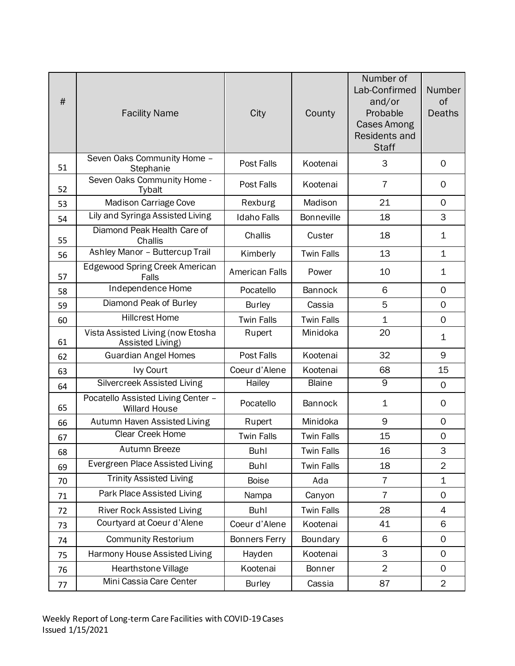| #  | <b>Facility Name</b>                                       | City                  | County            | Number of<br>Lab-Confirmed<br>and/or<br>Probable<br><b>Cases Among</b><br><b>Residents and</b><br><b>Staff</b> | Number<br>of<br><b>Deaths</b> |
|----|------------------------------------------------------------|-----------------------|-------------------|----------------------------------------------------------------------------------------------------------------|-------------------------------|
| 51 | Seven Oaks Community Home -<br>Stephanie                   | Post Falls            | Kootenai          | 3                                                                                                              | $\mathbf 0$                   |
| 52 | Seven Oaks Community Home -<br>Tybalt                      | Post Falls            | Kootenai          | 7                                                                                                              | $\mathbf 0$                   |
| 53 | Madison Carriage Cove                                      | Rexburg               | Madison           | 21                                                                                                             | $\mathbf{O}$                  |
| 54 | Lily and Syringa Assisted Living                           | <b>Idaho Falls</b>    | <b>Bonneville</b> | 18                                                                                                             | 3                             |
| 55 | Diamond Peak Health Care of<br>Challis                     | Challis               | Custer            | 18                                                                                                             | 1                             |
| 56 | Ashley Manor - Buttercup Trail                             | Kimberly              | <b>Twin Falls</b> | 13                                                                                                             | $\mathbf{1}$                  |
| 57 | Edgewood Spring Creek American<br>Falls                    | <b>American Falls</b> | Power             | 10                                                                                                             | $\mathbf 1$                   |
| 58 | Independence Home                                          | Pocatello             | Bannock           | 6                                                                                                              | $\mathbf 0$                   |
| 59 | Diamond Peak of Burley                                     | <b>Burley</b>         | Cassia            | 5                                                                                                              | $\mathbf 0$                   |
| 60 | <b>Hillcrest Home</b>                                      | <b>Twin Falls</b>     | <b>Twin Falls</b> | $\mathbf 1$                                                                                                    | $\mathbf 0$                   |
| 61 | Vista Assisted Living (now Etosha<br>Assisted Living)      | Rupert                | Minidoka          | 20                                                                                                             | $\mathbf 1$                   |
| 62 | <b>Guardian Angel Homes</b>                                | Post Falls            | Kootenai          | 32                                                                                                             | 9                             |
| 63 | Ivy Court                                                  | Coeur d'Alene         | Kootenai          | 68                                                                                                             | 15                            |
| 64 | Silvercreek Assisted Living                                | Hailey                | <b>Blaine</b>     | 9                                                                                                              | $\mathbf 0$                   |
| 65 | Pocatello Assisted Living Center -<br><b>Willard House</b> | Pocatello             | Bannock           | $\mathbf 1$                                                                                                    | $\mathbf 0$                   |
| 66 | Autumn Haven Assisted Living                               | Rupert                | Minidoka          | 9                                                                                                              | $\mathbf 0$                   |
| 67 | Clear Creek Home                                           | <b>Twin Falls</b>     | <b>Twin Falls</b> | 15                                                                                                             | $\mathsf{O}\xspace$           |
| 68 | Autumn Breeze                                              | Buhl                  | Twin Falls        | 16                                                                                                             | 3                             |
| 69 | Evergreen Place Assisted Living                            | <b>Buhl</b>           | <b>Twin Falls</b> | 18                                                                                                             | $\overline{2}$                |
| 70 | <b>Trinity Assisted Living</b>                             | <b>Boise</b>          | Ada               | 7                                                                                                              | $\mathbf 1$                   |
| 71 | Park Place Assisted Living                                 | Nampa                 | Canyon            | $\overline{7}$                                                                                                 | $\mathbf 0$                   |
| 72 | <b>River Rock Assisted Living</b>                          | <b>Buhl</b>           | <b>Twin Falls</b> | 28                                                                                                             | 4                             |
| 73 | Courtyard at Coeur d'Alene                                 | Coeur d'Alene         | Kootenai          | 41                                                                                                             | 6                             |
| 74 | <b>Community Restorium</b>                                 | <b>Bonners Ferry</b>  | Boundary          | $\,6$                                                                                                          | $\mathbf 0$                   |
| 75 | Harmony House Assisted Living                              | Hayden                | Kootenai          | 3                                                                                                              | $\mathsf{O}$                  |
| 76 | Hearthstone Village                                        | Kootenai              | <b>Bonner</b>     | $\overline{2}$                                                                                                 | $\mathsf{O}$                  |
| 77 | Mini Cassia Care Center                                    | <b>Burley</b>         | Cassia            | 87                                                                                                             | $\overline{2}$                |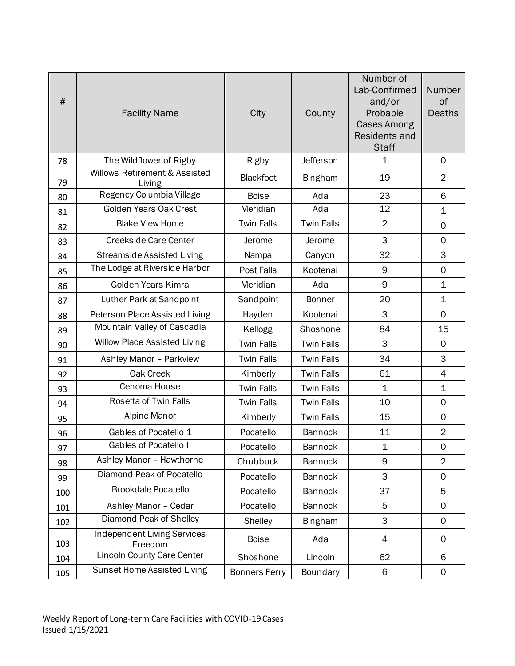| #   | <b>Facility Name</b>                    | City                 | County            | Number of<br>Lab-Confirmed<br>and/or<br>Probable<br><b>Cases Among</b><br>Residents and<br><b>Staff</b> | Number<br>of<br><b>Deaths</b> |
|-----|-----------------------------------------|----------------------|-------------------|---------------------------------------------------------------------------------------------------------|-------------------------------|
| 78  | The Wildflower of Rigby                 | Rigby                | Jefferson         | $\mathbf 1$                                                                                             | $\mathbf 0$                   |
| 79  | Willows Retirement & Assisted<br>Living | Blackfoot            | Bingham           | 19                                                                                                      | $\overline{2}$                |
| 80  | Regency Columbia Village                | <b>Boise</b>         | Ada               | 23                                                                                                      | 6                             |
| 81  | Golden Years Oak Crest                  | Meridian             | Ada               | 12                                                                                                      | $\mathbf 1$                   |
| 82  | <b>Blake View Home</b>                  | <b>Twin Falls</b>    | <b>Twin Falls</b> | $\overline{2}$                                                                                          | $\overline{0}$                |
| 83  | <b>Creekside Care Center</b>            | Jerome               | Jerome            | 3                                                                                                       | $\mathbf 0$                   |
| 84  | <b>Streamside Assisted Living</b>       | Nampa                | Canyon            | 32                                                                                                      | 3                             |
| 85  | The Lodge at Riverside Harbor           | Post Falls           | Kootenai          | 9                                                                                                       | $\mathbf 0$                   |
| 86  | Golden Years Kimra                      | Meridian             | Ada               | 9                                                                                                       | $\mathbf 1$                   |
| 87  | Luther Park at Sandpoint                | Sandpoint            | <b>Bonner</b>     | 20                                                                                                      | $\mathbf 1$                   |
| 88  | Peterson Place Assisted Living          | Hayden               | Kootenai          | 3                                                                                                       | $\mathbf 0$                   |
| 89  | Mountain Valley of Cascadia             | Kellogg              | Shoshone          | 84                                                                                                      | 15                            |
| 90  | <b>Willow Place Assisted Living</b>     | <b>Twin Falls</b>    | <b>Twin Falls</b> | 3                                                                                                       | $\mathbf 0$                   |
| 91  | Ashley Manor - Parkview                 | <b>Twin Falls</b>    | <b>Twin Falls</b> | 34                                                                                                      | 3                             |
| 92  | Oak Creek                               | Kimberly             | <b>Twin Falls</b> | 61                                                                                                      | $\overline{4}$                |
| 93  | Cenoma House                            | <b>Twin Falls</b>    | <b>Twin Falls</b> | $\mathbf 1$                                                                                             | $\mathbf{1}$                  |
| 94  | Rosetta of Twin Falls                   | <b>Twin Falls</b>    | <b>Twin Falls</b> | 10                                                                                                      | $\mathbf 0$                   |
| 95  | Alpine Manor                            | Kimberly             | <b>Twin Falls</b> | 15                                                                                                      | $\mathbf 0$                   |
| 96  | Gables of Pocatello 1                   | Pocatello            | Bannock           | 11                                                                                                      | $\overline{2}$                |
| 97  | Gables of Pocatello II                  | Pocatello            | Bannock           | 1                                                                                                       | 0                             |
| 98  | Ashley Manor - Hawthorne                | Chubbuck             | Bannock           | 9                                                                                                       | $\overline{2}$                |
| 99  | Diamond Peak of Pocatello               | Pocatello            | Bannock           | 3                                                                                                       | $\mathbf 0$                   |
| 100 | <b>Brookdale Pocatello</b>              | Pocatello            | Bannock           | 37                                                                                                      | 5                             |
| 101 | Ashley Manor - Cedar                    | Pocatello            | Bannock           | 5                                                                                                       | $\mathsf{O}\xspace$           |
| 102 | Diamond Peak of Shelley                 | Shelley              | Bingham           | 3                                                                                                       | $\mathbf 0$                   |
| 103 | Independent Living Services<br>Freedom  | <b>Boise</b>         | Ada               | 4                                                                                                       | 0                             |
| 104 | <b>Lincoln County Care Center</b>       | Shoshone             | Lincoln           | 62                                                                                                      | 6                             |
| 105 | Sunset Home Assisted Living             | <b>Bonners Ferry</b> | Boundary          | 6                                                                                                       | 0                             |